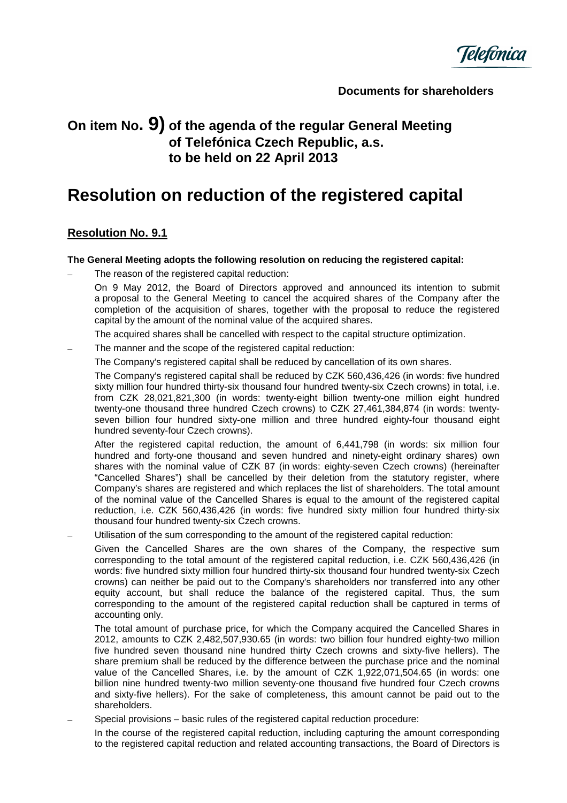

**Documents for shareholders** 

## **On item No. 9) of the agenda of the regular General Meeting of Telefónica Czech Republic, a.s. to be held on 22 April 2013**

# **Resolution on reduction of the registered capital**

## **Resolution No. 9.1**

#### **The General Meeting adopts the following resolution on reducing the registered capital:**

The reason of the registered capital reduction:

On 9 May 2012, the Board of Directors approved and announced its intention to submit a proposal to the General Meeting to cancel the acquired shares of the Company after the completion of the acquisition of shares, together with the proposal to reduce the registered capital by the amount of the nominal value of the acquired shares.

- The acquired shares shall be cancelled with respect to the capital structure optimization.
- The manner and the scope of the registered capital reduction:
	- The Company's registered capital shall be reduced by cancellation of its own shares.

The Company's registered capital shall be reduced by CZK 560,436,426 (in words: five hundred sixty million four hundred thirty-six thousand four hundred twenty-six Czech crowns) in total, i.e. from CZK 28,021,821,300 (in words: twenty-eight billion twenty-one million eight hundred twenty-one thousand three hundred Czech crowns) to CZK 27,461,384,874 (in words: twentyseven billion four hundred sixty-one million and three hundred eighty-four thousand eight hundred seventy-four Czech crowns).

After the registered capital reduction, the amount of 6,441,798 (in words: six million four hundred and forty-one thousand and seven hundred and ninety-eight ordinary shares) own shares with the nominal value of CZK 87 (in words: eighty-seven Czech crowns) (hereinafter "Cancelled Shares") shall be cancelled by their deletion from the statutory register, where Company's shares are registered and which replaces the list of shareholders. The total amount of the nominal value of the Cancelled Shares is equal to the amount of the registered capital reduction, i.e. CZK 560,436,426 (in words: five hundred sixty million four hundred thirty-six thousand four hundred twenty-six Czech crowns.

– Utilisation of the sum corresponding to the amount of the registered capital reduction:

Given the Cancelled Shares are the own shares of the Company, the respective sum corresponding to the total amount of the registered capital reduction, i.e. CZK 560,436,426 (in words: five hundred sixty million four hundred thirty-six thousand four hundred twenty-six Czech crowns) can neither be paid out to the Company's shareholders nor transferred into any other equity account, but shall reduce the balance of the registered capital. Thus, the sum corresponding to the amount of the registered capital reduction shall be captured in terms of accounting only.

The total amount of purchase price, for which the Company acquired the Cancelled Shares in 2012, amounts to CZK 2,482,507,930.65 (in words: two billion four hundred eighty-two million five hundred seven thousand nine hundred thirty Czech crowns and sixty-five hellers). The share premium shall be reduced by the difference between the purchase price and the nominal value of the Cancelled Shares, i.e. by the amount of CZK 1,922,071,504.65 (in words: one billion nine hundred twenty-two million seventy-one thousand five hundred four Czech crowns and sixty-five hellers). For the sake of completeness, this amount cannot be paid out to the shareholders.

– Special provisions – basic rules of the registered capital reduction procedure:

In the course of the registered capital reduction, including capturing the amount corresponding to the registered capital reduction and related accounting transactions, the Board of Directors is